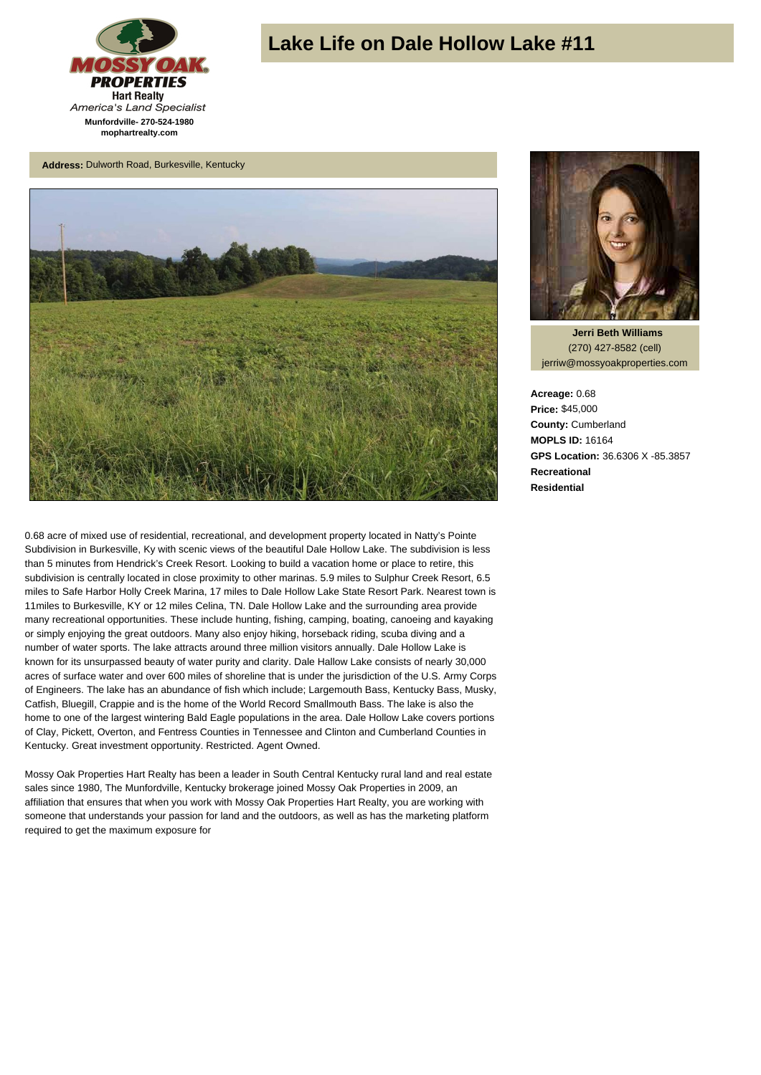

## **Lake Life on Dale Hollow Lake #11**

**Address:** Dulworth Road, Burkesville, Kentucky



0.68 acre of mixed use of residential, recreational, and development property located in Natty's Pointe Subdivision in Burkesville, Ky with scenic views of the beautiful Dale Hollow Lake. The subdivision is less than 5 minutes from Hendrick's Creek Resort. Looking to build a vacation home or place to retire, this subdivision is centrally located in close proximity to other marinas. 5.9 miles to Sulphur Creek Resort, 6.5 miles to Safe Harbor Holly Creek Marina, 17 miles to Dale Hollow Lake State Resort Park. Nearest town is 11miles to Burkesville, KY or 12 miles Celina, TN. Dale Hollow Lake and the surrounding area provide many recreational opportunities. These include hunting, fishing, camping, boating, canoeing and kayaking or simply enjoying the great outdoors. Many also enjoy hiking, horseback riding, scuba diving and a number of water sports. The lake attracts around three million visitors annually. Dale Hollow Lake is known for its unsurpassed beauty of water purity and clarity. Dale Hallow Lake consists of nearly 30,000 acres of surface water and over 600 miles of shoreline that is under the jurisdiction of the U.S. Army Corps of Engineers. The lake has an abundance of fish which include; Largemouth Bass, Kentucky Bass, Musky, Catfish, Bluegill, Crappie and is the home of the World Record Smallmouth Bass. The lake is also the home to one of the largest wintering Bald Eagle populations in the area. Dale Hollow Lake covers portions of Clay, Pickett, Overton, and Fentress Counties in Tennessee and Clinton and Cumberland Counties in Kentucky. Great investment opportunity. Restricted. Agent Owned.

Mossy Oak Properties Hart Realty has been a leader in South Central Kentucky rural land and real estate sales since 1980, The Munfordville, Kentucky brokerage joined Mossy Oak Properties in 2009, an affiliation that ensures that when you work with Mossy Oak Properties Hart Realty, you are working with someone that understands your passion for land and the outdoors, as well as has the marketing platform required to get the maximum exposure for



 **Jerri Beth Williams** (270) 427-8582 (cell) jerriw@mossyoakproperties.com

**Acreage:** 0.68 **Price:** \$45,000 **County:** Cumberland **MOPLS ID:** 16164 **GPS Location:** 36.6306 X -85.3857 **Recreational Residential**